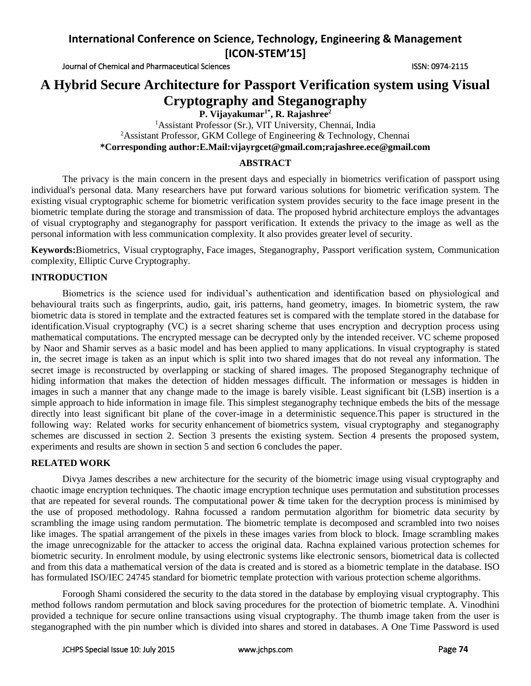Journal of Chemical and Pharmaceutical Sciences **ISSN: 0974-2115** ISSN: 0974-2115

# **A Hybrid Secure Architecture for Passport Verification system using Visual Cryptography and Steganography**

**P. Vijayakumar1\*, R. Rajashree<sup>2</sup>**

<sup>1</sup>Assistant Professor (Sr.), VIT University, Chennai, India <sup>2</sup>Assistant Professor, GKM College of Engineering & Technology, Chennai **\*Corresponding author:E.Mail:vijayrgcet@gmail.com;rajashree.ece@gmail.com**

## **ABSTRACT**

The privacy is the main concern in the present days and especially in biometrics verification of passport using individual's personal data. Many researchers have put forward various solutions for biometric verification system. The existing visual cryptographic scheme for biometric verification system provides security to the face image present in the biometric template during the storage and transmission of data. The proposed hybrid architecture employs the advantages of visual cryptography and steganography for passport verification. It extends the privacy to the image as well as the personal information with less communication complexity. It also provides greater level of security.

**Keywords:**Biometrics, Visual cryptography, Face images, Steganography, Passport verification system, Communication complexity, Elliptic Curve Cryptography*.*

## **INTRODUCTION**

Biometrics is the science used for individual's authentication and identification based on physiological and behavioural traits such as fingerprints, audio, gait, iris patterns, hand geometry, images. In biometric system, the raw biometric data is stored in template and the extracted features set is compared with the template stored in the database for identification.Visual cryptography (VC) is a secret sharing scheme that uses encryption and decryption process using mathematical computations. The encrypted message can be decrypted only by the intended receiver. VC scheme proposed by Naor and Shamir serves as a basic model and has been applied to many applications. In visual cryptography is stated in, the secret image is taken as an input which is split into two shared images that do not reveal any information. The secret image is reconstructed by overlapping or stacking of shared images. The proposed Steganography technique of hiding information that makes the detection of hidden messages difficult. The information or messages is hidden in images in such a manner that any change made to the image is barely visible. Least significant bit (LSB) insertion is a simple approach to hide information in image file. This simplest steganography technique embeds the bits of the message directly into least significant bit plane of the cover-image in a deterministic sequence.This paper is structured in the following way: Related works for security enhancement of biometrics system, visual cryptography and steganography schemes are discussed in section 2. Section 3 presents the existing system. Section 4 presents the proposed system, experiments and results are shown in section 5 and section 6 concludes the paper.

## **RELATED WORK**

Divya James describes a new architecture for the security of the biometric image using visual cryptography and chaotic image encryption techniques. The chaotic image encryption technique uses permutation and substitution processes that are repeated for several rounds. The computational power  $\&$  time taken for the decryption process is minimised by the use of proposed methodology. Rahna focussed a random permutation algorithm for biometric data security by scrambling the image using random permutation. The biometric template is decomposed and scrambled into two noises like images. The spatial arrangement of the pixels in these images varies from block to block. Image scrambling makes the image unrecognizable for the attacker to access the original data. Rachna explained various protection schemes for biometric security. In enrolment module, by using electronic systems like electronic sensors, biometrical data is collected and from this data a mathematical version of the data is created and is stored as a biometric template in the database. ISO has formulated ISO/IEC 24745 standard for biometric template protection with various protection scheme algorithms.

Foroogh Shami considered the security to the data stored in the database by employing visual cryptography. This method follows random permutation and block saving procedures for the protection of biometric template. A. Vinodhini provided a technique for secure online transactions using visual cryptography. The thumb image taken from the user is steganographed with the pin number which is divided into shares and stored in databases. A One Time Password is used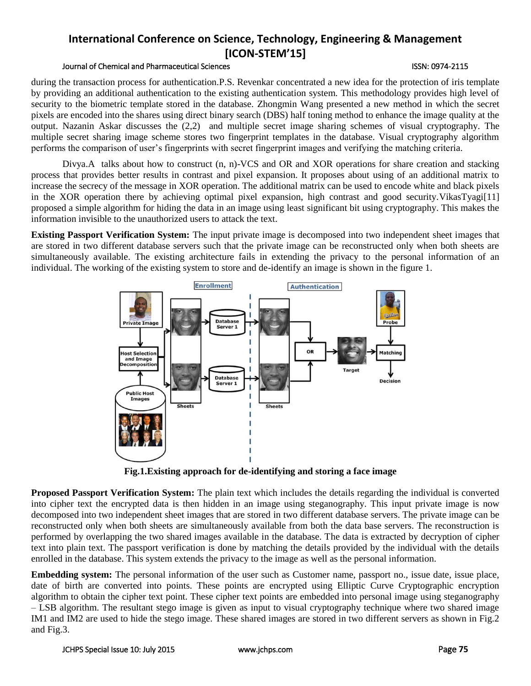## Journal of Chemical and Pharmaceutical Sciences ISSN: 0974-2115

during the transaction process for authentication.P.S. Revenkar concentrated a new idea for the protection of iris template by providing an additional authentication to the existing authentication system. This methodology provides high level of security to the biometric template stored in the database. Zhongmin Wang presented a new method in which the secret pixels are encoded into the shares using direct binary search (DBS) half toning method to enhance the image quality at the output. Nazanin Askar discusses the (2,2) and multiple secret image sharing schemes of visual cryptography. The multiple secret sharing image scheme stores two fingerprint templates in the database. Visual cryptography algorithm performs the comparison of user's fingerprints with secret fingerprint images and verifying the matching criteria.

Divya.A talks about how to construct (n, n)-VCS and OR and XOR operations for share creation and stacking process that provides better results in contrast and pixel expansion. It proposes about using of an additional matrix to increase the secrecy of the message in XOR operation. The additional matrix can be used to encode white and black pixels in the XOR operation there by achieving optimal pixel expansion, high contrast and good security.VikasTyagi[11] proposed a simple algorithm for hiding the data in an image using least significant bit using cryptography. This makes the information invisible to the unauthorized users to attack the text.

**Existing Passport Verification System:** The input private image is decomposed into two independent sheet images that are stored in two different database servers such that the private image can be reconstructed only when both sheets are simultaneously available. The existing architecture fails in extending the privacy to the personal information of an individual. The working of the existing system to store and de-identify an image is shown in the figure 1.



**Fig.1.Existing approach for de-identifying and storing a face image**

**Proposed Passport Verification System:** The plain text which includes the details regarding the individual is converted into cipher text the encrypted data is then hidden in an image using steganography. This input private image is now decomposed into two independent sheet images that are stored in two different database servers. The private image can be reconstructed only when both sheets are simultaneously available from both the data base servers. The reconstruction is performed by overlapping the two shared images available in the database. The data is extracted by decryption of cipher text into plain text. The passport verification is done by matching the details provided by the individual with the details enrolled in the database. This system extends the privacy to the image as well as the personal information.

**Embedding system:** The personal information of the user such as Customer name, passport no., issue date, issue place, date of birth are converted into points. These points are encrypted using Elliptic Curve Cryptographic encryption algorithm to obtain the cipher text point. These cipher text points are embedded into personal image using steganography – LSB algorithm. The resultant stego image is given as input to visual cryptography technique where two shared image IM1 and IM2 are used to hide the stego image. These shared images are stored in two different servers as shown in Fig.2 and Fig.3.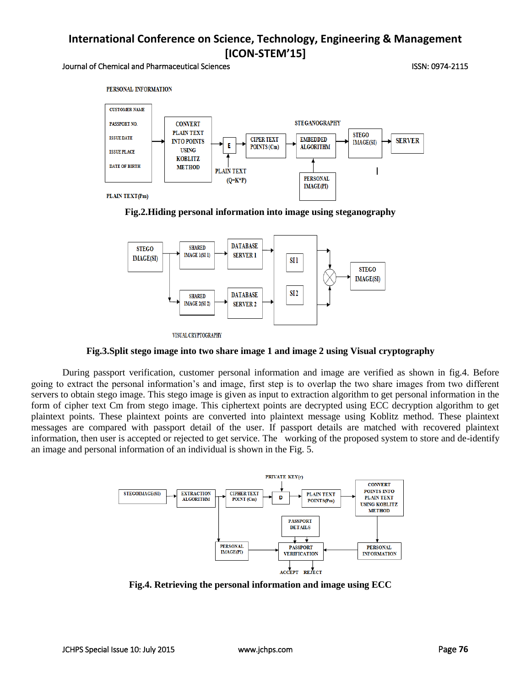### Journal of Chemical and Pharmaceutical Sciences ISSN: 0974-2115









VISUAL CRYPTOGRAPHY

**Fig.3.Split stego image into two share image 1 and image 2 using Visual cryptography**

During passport verification, customer personal information and image are verified as shown in fig.4. Before going to extract the personal information's and image, first step is to overlap the two share images from two different servers to obtain stego image. This stego image is given as input to extraction algorithm to get personal information in the form of cipher text Cm from stego image. This ciphertext points are decrypted using ECC decryption algorithm to get plaintext points. These plaintext points are converted into plaintext message using Koblitz method. These plaintext messages are compared with passport detail of the user. If passport details are matched with recovered plaintext information, then user is accepted or rejected to get service. The working of the proposed system to store and de-identify an image and personal information of an individual is shown in the Fig. 5.



**Fig.4. Retrieving the personal information and image using ECC**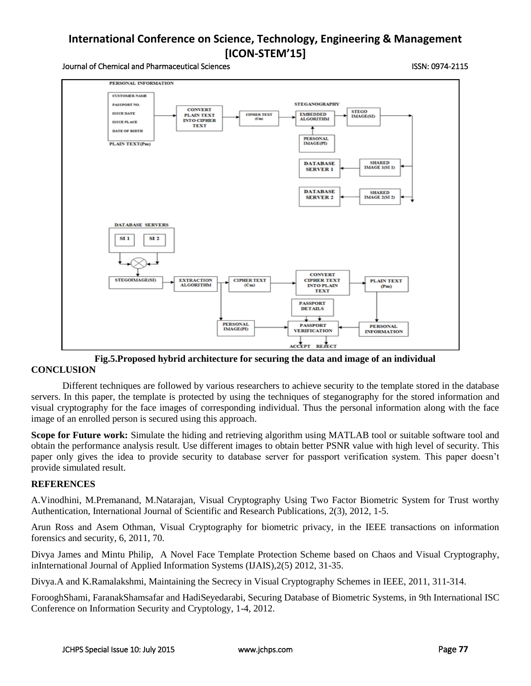### Journal of Chemical and Pharmaceutical Sciences ISSN: 0974-2115



**Fig.5.Proposed hybrid architecture for securing the data and image of an individual CONCLUSION**

Different techniques are followed by various researchers to achieve security to the template stored in the database servers. In this paper, the template is protected by using the techniques of steganography for the stored information and visual cryptography for the face images of corresponding individual. Thus the personal information along with the face image of an enrolled person is secured using this approach.

**Scope for Future work:** Simulate the hiding and retrieving algorithm using MATLAB tool or suitable software tool and obtain the performance analysis result. Use different images to obtain better PSNR value with high level of security. This paper only gives the idea to provide security to database server for passport verification system. This paper doesn't provide simulated result.

# **REFERENCES**

A.Vinodhini, M.Premanand, M.Natarajan, Visual Cryptography Using Two Factor Biometric System for Trust worthy Authentication, International Journal of Scientific and Research Publications, 2(3), 2012, 1-5.

Arun Ross and Asem Othman, Visual Cryptography for biometric privacy, in the IEEE transactions on information forensics and security, 6, 2011, 70.

Divya James and Mintu Philip, A Novel Face Template Protection Scheme based on Chaos and Visual Cryptography, inInternational Journal of Applied Information Systems (IJAIS),2(5) 2012, 31-35.

Divya.A and K.Ramalakshmi, Maintaining the Secrecy in Visual Cryptography Schemes in IEEE, 2011, 311-314.

ForooghShami, FaranakShamsafar and HadiSeyedarabi, Securing Database of Biometric Systems, in 9th International ISC Conference on Information Security and Cryptology, 1-4, 2012.